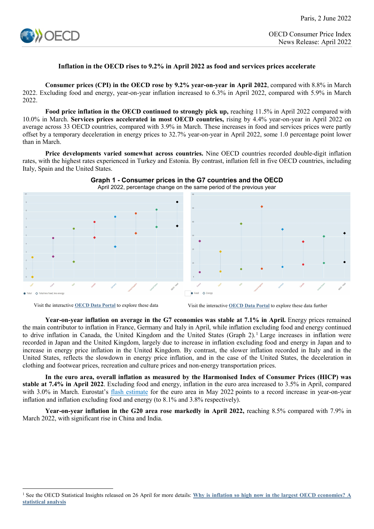

## **Inflation in the OECD rises to 9.2% in April 2022 as food and services prices accelerate**

**Consumer prices (CPI) in the OECD rose by 9.2% year-on-year in April 2022**, compared with 8.8% in March 2022. Excluding food and energy, year-on-year inflation increased to 6.3% in April 2022, compared with 5.9% in March 2022.

**Food price inflation in the OECD continued to strongly pick up, reaching 11.5% in April 2022 compared with** 10.0% in March. **Services prices accelerated in most OECD countries,** rising by 4.4% year-on-year in April 2022 on average across 33 OECD countries, compared with 3.9% in March. These increases in food and services prices were partly offset by a temporary deceleration in energy prices to 32.7% year-on-year in April 2022, some 1.0 percentage point lower than in March.

**Price developments varied somewhat across countries.** Nine OECD countries recorded double-digit inflation rates, with the highest rates experienced in Turkey and Estonia. By contrast, inflation fell in five OECD countries, including Italy, Spain and the United States.



**Graph 1 - Consumer prices in the G7 countries and the OECD**

**Year-on-year inflation on average in the G7 economies was stable at 7.1% in April.** Energy prices remained the main contributor to inflation in France, Germany and Italy in April, while inflation excluding food and energy continued to drive inflation in Canada, the United Kingdom and the United States (Graph  $2$ ).<sup>[1](#page-0-0)</sup> Large increases in inflation were recorded in Japan and the United Kingdom, largely due to increase in inflation excluding food and energy in Japan and to increase in energy price inflation in the United Kingdom. By contrast, the slower inflation recorded in Italy and in the United States, reflects the slowdown in energy price inflation, and in the case of the United States, the deceleration in clothing and footwear prices, recreation and culture prices and non-energy transportation prices.

**In the euro area, overall inflation as measured by the Harmonised Index of Consumer Prices (HICP) was stable at 7.4% in April 2022**. Excluding food and energy, inflation in the euro area increased to 3.5% in April, compared with 3.0% in March. Eurostat's [flash estimate](https://ec.europa.eu/eurostat/documents/2995521/14636256/2-31052022-AP-EN.pdf/3ba84e21-80e6-fc2f-6354-2b83b1ec5d35?t=1653913778479) for the euro area in May 2022 points to a record increase in year-on-year inflation and inflation excluding food and energy (to 8.1% and 3.8% respectively).

**Year-on-year inflation in the G20 area rose markedly in April 2022,** reaching 8.5% compared with 7.9% in March 2022, with significant rise in China and India.

Visit the interactive **[OECD Data Portal](https://data.oecd.org/chart/6JlG)** to explore these data Visit the interactive **[OECD Data Portal](https://data.oecd.org/chart/6JlF)** to explore these data further

<span id="page-0-0"></span><sup>&</sup>lt;u>.</u> <sup>1</sup> See the OECD Statistical Insights released on 26 April for more details: **[Why is inflation so high now in the largest OECD economies? A](https://www.oecd.org/sdd/prices-ppp/statistical-insights-why-is-inflation-so-high-now-in-the-largest-oecd-economies-a-statistical-analysis.htm)  [statistical analysis](https://www.oecd.org/sdd/prices-ppp/statistical-insights-why-is-inflation-so-high-now-in-the-largest-oecd-economies-a-statistical-analysis.htm)**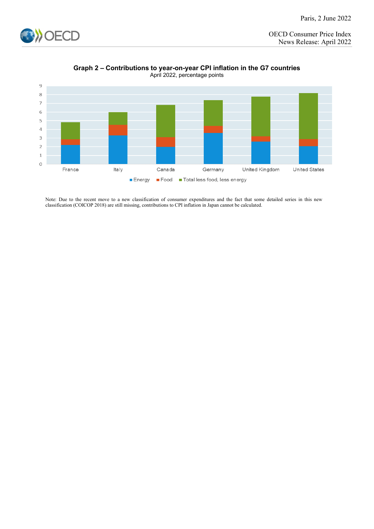





Note: Due to the recent move to a new classification of consumer expenditures and the fact that some detailed series in this new classification (COICOP 2018) are still missing, contributions to CPI inflation in Japan cannot be calculated.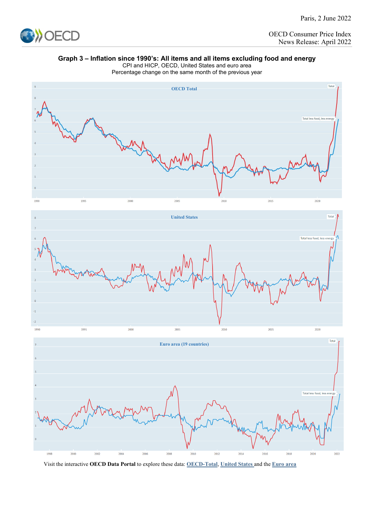

## **Graph 3 – Inflation since 1990's: All items and all items excluding food and energy**

CPI and HICP, OECD, United States and euro area Percentage change on the same month of the previous year



Visit the interactive **OECD Data Portal** to explore these data: **[OECD-Total](https://data.oecd.org/chart/6JlZ)**, **[United States](https://data.oecd.org/chart/6Jm0)** and the **[Euro area](https://data.oecd.org/chart/6Jm4)**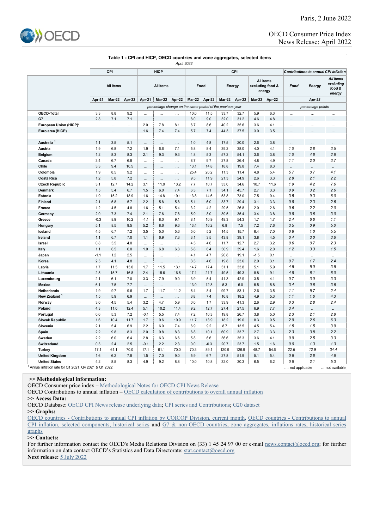

## **Table 1 - CPI and HICP, OECD countries and zone aggregates, selected items** *April 2022*

|                        |            | CPI                                                       |                      | <b>HICP</b> |               |            |               |            | CPI          | Contributions to annual CPI inflation |                                         |            |            |                      |                                            |
|------------------------|------------|-----------------------------------------------------------|----------------------|-------------|---------------|------------|---------------|------------|--------------|---------------------------------------|-----------------------------------------|------------|------------|----------------------|--------------------------------------------|
|                        | All items  |                                                           |                      | All items   |               |            | Food          |            | Energy       |                                       | All items<br>excluding food &<br>energy |            | Food       | Energy               | All items<br>excluding<br>food &<br>energy |
|                        | Apr 21     | <b>Mar 22</b>                                             | Apr-22               | Apr 21      | <b>Mar-22</b> | Apr-22     | <b>Mar 22</b> | Apr 22     | Mar-22       | Apr 22                                | <b>Mar 22</b>                           | Apr-22     |            | Apr-22               |                                            |
|                        |            | percentage change on the same period of the previous year |                      |             |               |            |               |            |              |                                       |                                         |            |            | percentage points    |                                            |
| <b>OECD</b> Total      | 3.3        | 8.8                                                       | 9.2                  | $\ddotsc$   | .             | $\cdots$   | 10.0          | 11.5       | 33.7         | 32.7                                  | 5.9                                     | 6.3        | .          | $\cdots$             | $\cdots$                                   |
| G7                     | 2.8        | 7.1                                                       | 7.1                  | $\ddotsc$   | $\ddotsc$     |            | 8.0           | 9.0        | 32.0         | 31.2                                  | 4.6                                     | 4.8        |            |                      |                                            |
| European Union (HICP)* | $\cdots$   | .                                                         | $\ddot{\phantom{a}}$ | 2.0         | 7.8           | 8.1        | 6.7           | 8.6        | 40.2         | 35.6                                  | 3.6                                     | 4.1        | .          | $\cdots$             | $\cdots$                                   |
| Euro area (HICP)       | .          | .                                                         | $\cdots$             | 1.6         | 7.4           | 7.4        | 5.7           | 7.4        | 44.3         | 37.5                                  | 3.0                                     | 3.5        | $\cdots$   | $\cdots$             |                                            |
|                        |            |                                                           |                      |             |               |            |               |            |              |                                       |                                         |            |            |                      |                                            |
| Australia <sup>1</sup> | 1.1        | 3.5                                                       | 5.1                  | $\cdots$    | $\cdots$      | $\cdots$   | 1.0           | 4.8        | 17.5         | 20.0                                  | 2.6                                     | 3.8        |            | $\ddotsc$            | $\ddotsc$                                  |
| Austria                | 1.9        | 6.8                                                       | 7.2                  | 1.9         | 6.6           | 7.1        | 5.8           | 8.4        | 39.2         | 38.0                                  | 4.0                                     | 4.1        | 1.0        | 2.8                  | 3.5                                        |
| <b>Belgium</b>         | 1.2        | 8.3                                                       | 8.3                  | 2.1         | 9.3           | 9.3        | 4.8           | 5.3        | 57.2         | 54.1                                  | 3.6                                     | 3.8        | 1.0        | 4.6                  | 2.8                                        |
| Canada                 | 3.4        | 6.7                                                       | 6.8                  | $\cdots$    | $\cdots$      | $\cdots$   | 8.7           | 9.7        | 27.8         | 26.4                                  | 4.8                                     | 4.9        | 1.1        | 2.0                  | 3.7                                        |
| Chile                  | 3.3        | 9.4                                                       | 10.5                 | $\cdots$    | $\cdots$      | $\cdots$   | 13.1          | 14.8       | 18.8         | 19.8                                  | 7.4                                     | 8.3        |            | $\ddot{\phantom{0}}$ |                                            |
| Colombia               | 1.9        | 8.5                                                       | 9.2                  | $\cdots$    | $\cdots$      | $\cdots$   | 25.4          | 26.2       | 11.3         | 11.4                                  | 4.8                                     | 5.4        | 5.7        | 0.7                  | 4.1                                        |
| <b>Costa Rica</b>      | 1.2        | 5.8                                                       | 7.2                  | $\cdots$    | $\cdots$      | $\cdots$   | 9.5           | 11.9       | 21.3         | 24.9                                  | 2.6                                     | 3.3        | 2.8        | 2.1                  | 2.2                                        |
| <b>Czech Republic</b>  | 3.1        | 12.7                                                      | 14.2                 | 3.1         | 11.9          | 13.2       | 7.7           | 10.7       | 33.0         | 34.6                                  | 10.7                                    | 11.6       | 1.9        | 4.2                  | 7.6                                        |
| <b>Denmark</b>         | 1.5        | 5.4                                                       | 6.7                  | 1.5         | 6.0           | 7.4        | 6.3           | 7.1        | 34.1         | 45.7                                  | 2.7                                     | 3.3        | 0.9<br>3.5 | 3.2<br>9.3           | 2.6                                        |
| Estonia                | 1.9        | 15.2                                                      | 18.9                 | 1.6         | 14.8          | 19.1       | 13.8          | 14.6       | 53.8         | 73.0                                  | 7.5                                     | 9.4        | 0.8        | 2.3                  | 6.0<br>2.6                                 |
| <b>Finland</b>         | 2.1<br>1.2 | 5.8<br>4.5                                                | 5.7<br>4.8           | 2.2<br>1.6  | 5.8<br>5.1    | 5.8<br>5.4 | 5.1<br>3.2    | 6.0<br>4.2 | 33.7<br>29.5 | 29.4<br>26.8                          | 3.1<br>2.0                              | 3.3<br>2.6 | 0.6        | 2.2                  | 2.0                                        |
| France                 | 2.0        | 7.3                                                       | 7.4                  | 2.1         | 7.6           | 7.8        | 5.9           | 8.0        | 39.5         | 35.4                                  | 3.4                                     | 3.8        | 0.8        | 3.6                  | 3.0                                        |
| Germany<br>Greece      | $-0.3$     | 8.9                                                       | 10.2                 | $-1.1$      | 8.0           | 9.1        | 8.1           | 10.9       | 48.3         | 54.3                                  | 1.7                                     | 1.7        | 2.4        | 6.6                  | 1.1                                        |
| Hungary                | 5.1        | 8.5                                                       | 9.5                  | 5.2         | 8.6           | 9.6        | 13.4          | 16.2       | 6.8          | 7.5                                   | 7.2                                     | 7.6        | 3.5        | 0.9                  | 5.0                                        |
| Iceland                | 4.5        | 6.7                                                       | 7.2                  | 3.5         | 5.0           | 5.6        | 5.0           | 5.2        | 14.5         | 15.7                                  | 6.4                                     | 7.0        | 0.8        | 1.0                  | 5.5                                        |
| Ireland                | 1.1        | 6.7                                                       | 7.0                  | 1.1         | 6.9           | 7.3        | 3.1           | 3.5        | 43.8         | 39.1                                  | 3.8                                     | 4.5        | 0.4        | 3.0                  | 3.6                                        |
| Israel                 | 0.8        | 3.5                                                       | 4.0                  | $\cdots$    | $\cdots$      | $\cdots$   | 4.5           | 4.6        | 11.7         | 12.7                                  | 2.7                                     | 3.2        | 0.6        | 0.7                  | 2.3                                        |
| Italy                  | 1.1        | 6.5                                                       | 6.0                  | 1.0         | 6.8           | 6.3        | 5.8           | 6.4        | 50.9         | 39.4                                  | 1.6                                     | 2.0        | 1.2        | 3.3                  | 1.5                                        |
| Japan                  | $-1.1$     | 1.2                                                       | 2.5                  |             | .             | .          | 4.1           | 4.7        | 20.8         | 19.1                                  | $-1.5$                                  | 0.1        |            | $\ddot{\phantom{a}}$ |                                            |
| Korea                  | 2.5        | 4.1                                                       | 4.8                  | $\cdots$    |               |            | 3.3           | 4.6        | 19.8         | 23.6                                  | 2.9                                     | 3.1        | 0.7        | 1.7                  | 2.4                                        |
| Latvia                 | 1.7        | 11.5                                                      | 13.0                 | 1.7         | 11.5          | 13.1       | 14.7          | 17.4       | 31.1         | 33.8                                  | 5.1                                     | 5.9        | 4.5        | 5.0                  | 3.5                                        |
| Lithuania              | 2.5        | 15.7                                                      | 16.8                 | 2.4         | 15.6          | 16.6       | 17.1          | 21.7       | 49.5         | 49.3                                  | 8.8                                     | 9.1        | 4.8        | 6.1                  | 6.0                                        |
| Luxembourg             | 2.1        | 6.1                                                       | 7.0                  | 3.3         | 7.9           | 9.0        | 3.9           | 5.4        | 41.3         | 42.9                                  | 3.5                                     | 4.1        | 0.7        | 3.0                  | 3.3                                        |
| Mexico                 | 6.1        | 7.5                                                       | 7.7                  | $\cdots$    |               | $\cdots$   | 13.0          | 12.8       | 5.3          | 6.0                                   | 5.5                                     | 5.8        | 3.4        | 0.6                  | 3.6                                        |
| Netherlands            | 1.9        | 9.7                                                       | 9.6                  | 1.7         | 11.7          | 11.2       | 6.4           | 8.4        | 99.7         | 83.1                                  | 2.6                                     | 3.5        | 1.1        | 5.7                  | 2.4                                        |
| New Zealand            | 1.5        | 5.9                                                       | 6.9                  | $\cdots$    | $\cdots$      | $\cdots$   | 3.8           | 7.4        | 16.8         | 18.2                                  | 4.9                                     | 5.3        | 1.1        | 1.6                  | 4.3                                        |
| Norway                 | 3.0        | 4.5                                                       | 5.4                  | 3.2         | 4.7           | 5.9        | 0.0           | 1.7        | 33.9         | 41.3                                  | 2.6                                     | 2.9        | 0.3        | 2.8                  | 2.4                                        |
| Poland                 | 4.3        | 11.0                                                      | 12.4                 | 5.1         | 10.2          | 11.4       | 9.2           | 12.7       | 27.4         | 27.5                                  | 6.9                                     | 7.7        | 3.4        | $\ddot{\phantom{a}}$ |                                            |
| Portugal               | $0.6\,$    | 5.3                                                       | 7.2                  | $-0.1$      | 5.5           | 7.4        | 7.2           | 10.3       | 19.8         | 26.7                                  | 3.8                                     | 5.0        | 2.3        | 2.1                  | 2.8                                        |
| <b>Slovak Republic</b> | 1.6        | 10.4                                                      | 11.7                 | 1.7         | 9.6           | 10.9       | 11.7          | 13.9       | 18.2         | 19.0                                  | 8.3                                     | 9.5        | 2.9        | 2.6                  | 6.3                                        |
| Slovenia               | 2.1        | 5.4                                                       | 6.9                  | 2.2         | 6.0           | 7.4        | 6.9           | 9.2        | 8.7          | 13.5                                  | 4.5                                     | 5.4        | 1.5        | 1.5                  | 3.9                                        |
| Spain                  | 2.2        | 9.8                                                       | 8.3                  | 2.0         | 9.8           | 8.3        | 6.8           | 10.1       | 60.9         | 33.7                                  | 2.7                                     | 3.3        | 2.3        | 3.8                  | 2.2                                        |
| Sweden                 | 2.2        | 6.0                                                       | 6.4                  | 2.8         | 6.3           | 6.6        | 5.8           | 6.6        | 36.6         | 35.3                                  | 3.6                                     | 4.1        | 0.9        | 2.5                  | 3.3                                        |
| Switzerland            | 0.3        | 2.4                                                       | 2.5                  | $-0.1$      | 2.2           | 2.3        | 0.0           | $-0.3$     | 20.7         | 23.7                                  | 1.5                                     | 1.6        | 0.0        | 1.3                  | 1.3                                        |
| Turkey                 | 17.1       | 61.1                                                      | 70.0                 | 17.1        | 61.1          | 70.0       | 70.3          | 89.1       | 120.9        | 126.9                                 | 48.7                                    | 54.6       | 22.6       | 12.9                 | 34.4                                       |
| <b>United Kingdom</b>  | 1.6        | 6.2                                                       | 7.8                  | 1.5         | 7.0           | 9.0        | 5.9           | 6.7        | 27.8         | 51.9                                  | 5.1                                     | 5.4        | 0.6        | 2.6                  | 4.6                                        |
| <b>United States</b>   | 4.2        | 8.5                                                       | 8.3                  | 4.9         | 9.2           | 8.8        | 10.0          | 10.8       | 32.0         | 30.3                                  | 6.5                                     | 6.2        | 0.8        | 2.1                  | 5.3                                        |

1 Annual inflation rate for Q1 2021, Q4 2021 & Q1 2022 ...: not applicable ..: not available

**>> Methodological information:**

OECD Consumer price index [– Methodological Notes for OECD CPI News Release](http://www.oecd.org/sdd/prices-ppp/47010757.pdf)

OECD Contributions to annual inflation [– OECD calculation of contributions to overall annual](http://www.oecd.org/sdd/prices-ppp/OECD-calculation-contributions-annual-inflation.pdf) inflation

**>> Access Data:**

OECD Database: [OECD CPI News release underlying data;](http://stats.oecd.org/Index.aspx?QueryId=82174) [CPI series and Contributions;](http://stats.oecd.org/Index.aspx?DataSetCode=PRICES_CPI) [G20 dataset](http://stats.oecd.org/Index.aspx?DataSetCode=G20_PRICES)

**>> Graphs:**

[OECD countries - Contributions to annual CPI inflation by COICOP Division, current month](http://www.oecd.org/sdd/prices-ppp/OECD-CPI-Contributions-to-inflation-by-COICOP-current-month.xlsx)**,** [OECD countries - Contributions to annual](http://www.oecd.org/sdd/prices-ppp/OECD-CPI-Contributions-to-inflation-selected-components-historical-series.xlsx)  [CPI inflation, selected components, historical series](http://www.oecd.org/sdd/prices-ppp/OECD-CPI-Contributions-to-inflation-selected-components-historical-series.xlsx) and [G7 & non-OECD countries, zone aggregates, inflations rates, historical series](https://www.oecd.org/sdd/prices-ppp/OECD-CPI-G7-non-OECD-countries-zones-aggregates-inflation-rates-historical-series.xlsx)  [graphs](https://www.oecd.org/sdd/prices-ppp/OECD-CPI-G7-non-OECD-countries-zones-aggregates-inflation-rates-historical-series.xlsx)

**>> Contacts:**

For further information contact the OECD's Media Relations Division on (33) 1 45 24 97 00 or e-mail [news.contact@oecd.org;](mailto:news.contact@oecd.org) for further information on data contact OECD's Statistics and Data Directorate: [stat.contact@oecd.org](mailto:stat.contact@oecd.org) **Next release:** [5 July](http://www.oecd.org/sdd/prices-ppp/oecdconsumerprices-timetable.htm) 2022